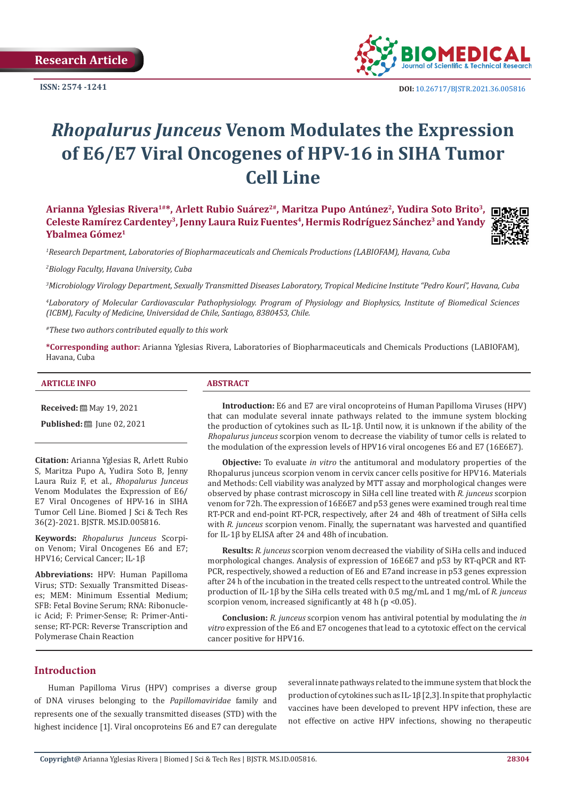**Research Article** 

**ISSN: 2574 -1241**



 **DOI:** [10.26717/BJSTR.2021.36.005816](https://dx.doi.org/10.26717/BJSTR.2021.36.005816)

# *Rhopalurus Junceus* **Venom Modulates the Expression of E6/E7 Viral Oncogenes of HPV-16 in SIHA Tumor Cell Line**

Arianna Yglesias Rivera<sup>1#\*</sup>, Arlett Rubio Suárez<sup>2#</sup>, Maritza Pupo Antúnez<sup>2</sup>, Yudira Soto Brito<sup>3</sup>, Celeste Ramírez Cardentey<sup>3</sup>, Jenny Laura Ruiz Fuentes<sup>4</sup>, Hermis Rodríguez Sánchez<sup>3</sup> and Yandy **Ybalmea Gómez1**



*1 Research Department, Laboratories of Biopharmaceuticals and Chemicals Productions (LABIOFAM), Havana, Cuba*

*2 Biology Faculty, Havana University, Cuba*

*3 Microbiology Virology Department, Sexually Transmitted Diseases Laboratory, Tropical Medicine Institute "Pedro Kourí", Havana, Cuba*

*4 Laboratory of Molecular Cardiovascular Pathophysiology. Program of Physiology and Biophysics, Institute of Biomedical Sciences (ICBM), Faculty of Medicine, Universidad de Chile, Santiago, 8380453, Chile.*

*#These two authors contributed equally to this work*

**\*Corresponding author:** Arianna Yglesias Rivera, Laboratories of Biopharmaceuticals and Chemicals Productions (LABIOFAM), Havana, Cuba

#### **ARTICLE INFO ABSTRACT**

**Received:** [8] May 19, 2021

**Published:** ■ June 02, 2021

**Citation:** Arianna Yglesias R, Arlett Rubio S, Maritza Pupo A, Yudira Soto B, Jenny Laura Ruiz F, et al., *Rhopalurus Junceus* Venom Modulates the Expression of E6/ E7 Viral Oncogenes of HPV-16 in SIHA Tumor Cell Line. Biomed J Sci & Tech Res 36(2)-2021. BJSTR. MS.ID.005816.

**Keywords:** *Rhopalurus Junceus* Scorpion Venom; Viral Oncogenes E6 and E7; HPV16; Cervical Cancer; IL-1β

**Abbreviations:** HPV: Human Papilloma Virus; STD: Sexually Transmitted Diseases; MEM: Minimum Essential Medium; SFB: Fetal Bovine Serum; RNA: Ribonucleic Acid; F: Primer-Sense; R: Primer-Antisense; RT-PCR: Reverse Transcription and Polymerase Chain Reaction

**Introduction:** E6 and E7 are viral oncoproteins of Human Papilloma Viruses (HPV) that can modulate several innate pathways related to the immune system blocking the production of cytokines such as IL-1β. Until now, it is unknown if the ability of the *Rhopalurus junceus* scorpion venom to decrease the viability of tumor cells is related to the modulation of the expression levels of HPV16 viral oncogenes E6 and E7 (16E6E7).

**Objective:** To evaluate *in vitro* the antitumoral and modulatory properties of the Rhopalurus junceus scorpion venom in cervix cancer cells positive for HPV16. Materials and Methods: Cell viability was analyzed by MTT assay and morphological changes were observed by phase contrast microscopy in SiHa cell line treated with *R. junceus* scorpion venom for 72h. The expression of 16E6E7 and p53 genes were examined trough real time RT-PCR and end-point RT-PCR, respectively, after 24 and 48h of treatment of SiHa cells with *R. junceus* scorpion venom. Finally, the supernatant was harvested and quantified for IL-1β by ELISA after 24 and 48h of incubation.

**Results:** *R. junceus* scorpion venom decreased the viability of SiHa cells and induced morphological changes. Analysis of expression of 16E6E7 and p53 by RT-qPCR and RT-PCR, respectively, showed a reduction of E6 and E7and increase in p53 genes expression after 24 h of the incubation in the treated cells respect to the untreated control. While the production of IL-1β by the SiHa cells treated with 0.5 mg/mL and 1 mg/mL of *R. junceus* scorpion venom, increased significantly at 48 h (p <0.05).

**Conclusion:** *R. junceus* scorpion venom has antiviral potential by modulating the *in vitro* expression of the E6 and E7 oncogenes that lead to a cytotoxic effect on the cervical cancer positive for HPV16.

# **Introduction**

Human Papilloma Virus (HPV) comprises a diverse group of DNA viruses belonging to the *Papillomaviridae* family and represents one of the sexually transmitted diseases (STD) with the highest incidence [1]. Viral oncoproteins E6 and E7 can deregulate

several innate pathways related to the immune system that block the production of cytokines such as IL-1β [2,3]. In spite that prophylactic vaccines have been developed to prevent HPV infection, these are not effective on active HPV infections, showing no therapeutic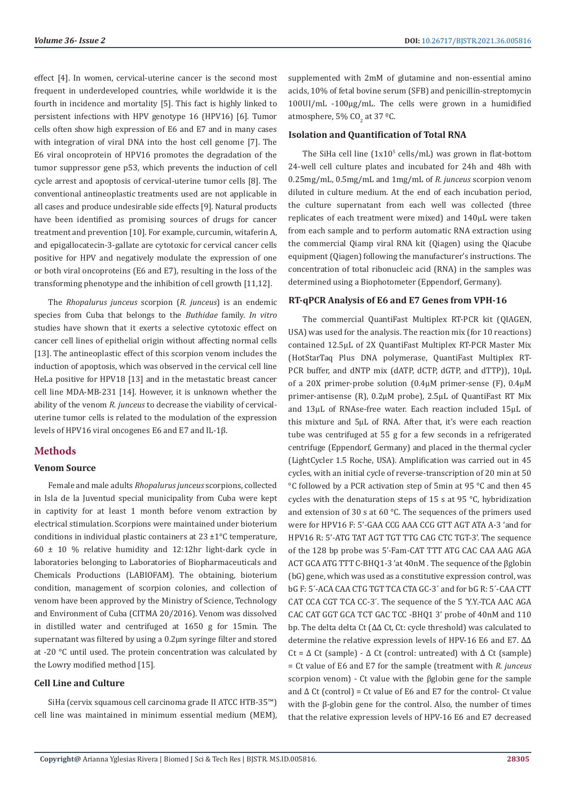effect [4]. In women, cervical-uterine cancer is the second most frequent in underdeveloped countries, while worldwide it is the fourth in incidence and mortality [5]. This fact is highly linked to persistent infections with HPV genotype 16 (HPV16) [6]. Tumor cells often show high expression of E6 and E7 and in many cases with integration of viral DNA into the host cell genome [7]. The E6 viral oncoprotein of HPV16 promotes the degradation of the tumor suppressor gene p53, which prevents the induction of cell cycle arrest and apoptosis of cervical-uterine tumor cells [8]. The conventional antineoplastic treatments used are not applicable in all cases and produce undesirable side effects [9]. Natural products have been identified as promising sources of drugs for cancer treatment and prevention [10]. For example, curcumin, witaferin A, and epigallocatecin-3-gallate are cytotoxic for cervical cancer cells positive for HPV and negatively modulate the expression of one or both viral oncoproteins (E6 and E7), resulting in the loss of the transforming phenotype and the inhibition of cell growth [11,12].

The *Rhopalurus junceus* scorpion (*R. junceus*) is an endemic species from Cuba that belongs to the *Buthidae* family. *In vitro* studies have shown that it exerts a selective cytotoxic effect on cancer cell lines of epithelial origin without affecting normal cells [13]. The antineoplastic effect of this scorpion venom includes the induction of apoptosis, which was observed in the cervical cell line HeLa positive for HPV18 [13] and in the metastatic breast cancer cell line MDA-MB-231 [14]. However, it is unknown whether the ability of the venom *R. junceus* to decrease the viability of cervicaluterine tumor cells is related to the modulation of the expression levels of HPV16 viral oncogenes E6 and E7 and IL-1β.

### **Methods**

# **Venom Source**

Female and male adults *Rhopalurus junceus* scorpions, collected in Isla de la Juventud special municipality from Cuba were kept in captivity for at least 1 month before venom extraction by electrical stimulation. Scorpions were maintained under bioterium conditions in individual plastic containers at 23 ±1°C temperature,  $60 \pm 10$  % relative humidity and 12:12hr light-dark cycle in laboratories belonging to Laboratories of Biopharmaceuticals and Chemicals Productions (LABIOFAM). The obtaining, bioterium condition, management of scorpion colonies, and collection of venom have been approved by the Ministry of Science, Technology and Environment of Cuba (CITMA 20/2016). Venom was dissolved in distilled water and centrifuged at 1650 g for 15min. The supernatant was filtered by using a 0.2μm syringe filter and stored at -20 °C until used. The protein concentration was calculated by the Lowry modified method [15].

## **Cell Line and Culture**

SiHa (cervix squamous cell carcinoma grade II ATCC HTB-35™) cell line was maintained in minimum essential medium (MEM), supplemented with 2mM of glutamine and non-essential amino acids, 10% of fetal bovine serum (SFB) and penicillin-streptomycin 100UI/mL -100µg/mL. The cells were grown in a humidified atmosphere, 5% CO<sub>2</sub> at 37 <sup>o</sup>C.

#### **Isolation and Quantification of Total RNA**

The SiHa cell line  $(1x10^5 \text{ cells/mL})$  was grown in flat-bottom 24-well cell culture plates and incubated for 24h and 48h with 0.25mg/mL, 0.5mg/mL and 1mg/mL of *R. junceus* scorpion venom diluted in culture medium. At the end of each incubation period, the culture supernatant from each well was collected (three replicates of each treatment were mixed) and 140μL were taken from each sample and to perform automatic RNA extraction using the commercial Qiamp viral RNA kit (Qiagen) using the Qiacube equipment (Qiagen) following the manufacturer's instructions. The concentration of total ribonucleic acid (RNA) in the samples was determined using a Biophotometer (Eppendorf, Germany).

#### **RT-qPCR Analysis of E6 and E7 Genes from VPH-16**

The commercial QuantiFast Multiplex RT-PCR kit (QIAGEN, USA) was used for the analysis. The reaction mix (for 10 reactions) contained 12.5μL of 2X QuantiFast Multiplex RT-PCR Master Mix (HotStarTaq Plus DNA polymerase, QuantiFast Multiplex RT-PCR buffer, and dNTP mix (dATP, dCTP, dGTP, and dTTP)),  $10 \mu L$ of a 20X primer-probe solution (0.4µM primer-sense (F), 0.4µM primer-antisense (R), 0.2µM probe), 2.5µL of QuantiFast RT Mix and 13μL of RNAse-free water. Each reaction included 15µL of this mixture and 5µL of RNA. After that, it's were each reaction tube was centrifuged at 55 g for a few seconds in a refrigerated centrifuge (Eppendorf, Germany) and placed in the thermal cycler (LightCycler 1.5 Roche, USA). Amplification was carried out in 45 cycles, with an initial cycle of reverse-transcription of 20 min at 50 °C followed by a PCR activation step of 5min at 95 °C and then 45 cycles with the denaturation steps of 15 s at 95 °C, hybridization and extension of 30 s at 60 °C. The sequences of the primers used were for HPV16 F: 5'-GAA CCG AAA CCG GTT AGT ATA A-3 'and for HPV16 R: 5'-ATG TAT AGT TGT TTG CAG CTC TGT-3'. The sequence of the 128 bp probe was 5'-Fam-CAT TTT ATG CAC CAA AAG AGA ACT GCA ATG TTT C-BHQ1-3 'at 40nM . The sequence of the βglobin (bG) gene, which was used as a constitutive expression control, was bG F: 5´-ACA CAA CTG TGT TCA CTA GC-3´ and for bG R: 5´-CAA CTT CAT CCA CGT TCA CC-3´. The sequence of the 5 'Y.Y.-TCA AAC AGA CAC CAT GGT GCA TCT GAC TCC -BHQ1 3' probe of 40nM and 110 bp. The delta delta Ct (∆∆ Ct, Ct: cycle threshold) was calculated to determine the relative expression levels of HPV-16 E6 and E7. ∆∆ Ct =  $\Delta$  Ct (sample) -  $\Delta$  Ct (control: untreated) with  $\Delta$  Ct (sample) = Ct value of E6 and E7 for the sample (treatment with *R. junceus* scorpion venom) - Ct value with the βglobin gene for the sample and ∆ Ct (control) = Ct value of E6 and E7 for the control- Ct value with the β-globin gene for the control. Also, the number of times that the relative expression levels of HPV-16 E6 and E7 decreased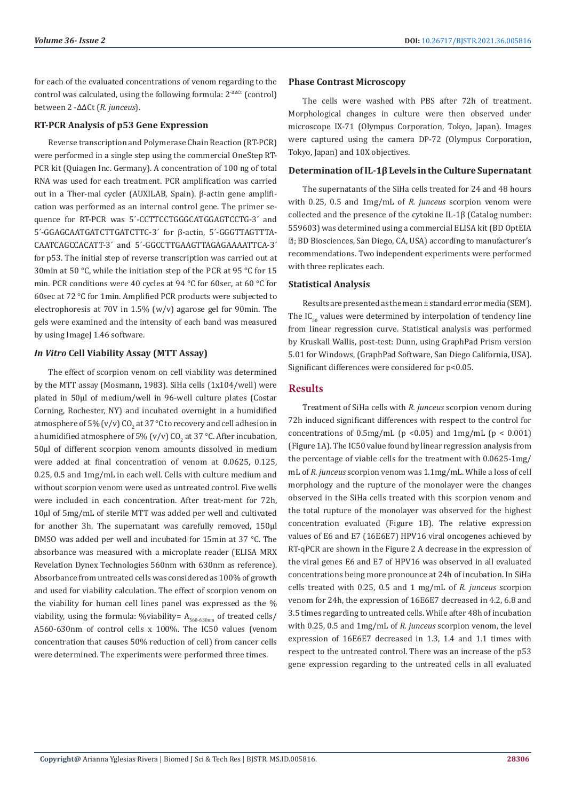for each of the evaluated concentrations of venom regarding to the control was calculated, using the following formula: 2<sup>-∆∆Ct</sup> (control) between 2 -∆∆Ct (*R. junceus*).

#### **RT-PCR Analysis of p53 Gene Expression**

Reverse transcription and Polymerase Chain Reaction (RT-PCR) were performed in a single step using the commercial OneStep RT-PCR kit (Quiagen Inc. Germany). A concentration of 100 ng of total RNA was used for each treatment. PCR amplification was carried out in a Ther-mal cycler (AUXILAB, Spain). β-actin gene amplification was performed as an internal control gene. The primer sequence for RT-PCR was 5´-CCTTCCTGGGCATGGAGTCCTG-3´ and 5´-GGAGCAATGATCTTGATCTTC-3´ for β-actin, 5´-GGGTTAGTTTA-CAATCAGCCACATT-3´ and 5´-GGCCTTGAAGTTAGAGAAAATTCA-3´ for p53. The initial step of reverse transcription was carried out at 30min at 50 °C, while the initiation step of the PCR at 95 °C for 15 min. PCR conditions were 40 cycles at 94 °C for 60sec, at 60 °C for 60sec at 72 °C for 1min. Amplified PCR products were subjected to electrophoresis at 70V in 1.5% (w/v) agarose gel for 90min. The gels were examined and the intensity of each band was measured by using ImageJ 1.46 software.

# *In Vitro* **Cell Viability Assay (MTT Assay)**

The effect of scorpion venom on cell viability was determined by the MTT assay (Mosmann, 1983). SiHa cells (1x104/well) were plated in 50μl of medium/well in 96-well culture plates (Costar Corning, Rochester, NY) and incubated overnight in a humidified atmosphere of 5% (v/v) CO<sub>2</sub> at 37 °C to recovery and cell adhesion in a humidified atmosphere of 5% (v/v) CO<sub>2</sub> at 37 °C. After incubation, 50μl of different scorpion venom amounts dissolved in medium were added at final concentration of venom at 0.0625, 0.125, 0.25, 0.5 and 1mg/mL in each well. Cells with culture medium and without scorpion venom were used as untreated control. Five wells were included in each concentration. After treat-ment for 72h, 10μl of 5mg/mL of sterile MTT was added per well and cultivated for another 3h. The supernatant was carefully removed, 150μl DMSO was added per well and incubated for 15min at 37 °C. The absorbance was measured with a microplate reader (ELISA MRX Revelation Dynex Technologies 560nm with 630nm as reference). Absorbance from untreated cells was considered as 100% of growth and used for viability calculation. The effect of scorpion venom on the viability for human cell lines panel was expressed as the % viability, using the formula: %viability=  $A_{560-630nm}$  of treated cells/ A560-630nm of control cells x 100%. The IC50 values (venom concentration that causes 50% reduction of cell) from cancer cells were determined. The experiments were performed three times.

# **Phase Contrast Microscopy**

The cells were washed with PBS after 72h of treatment. Morphological changes in culture were then observed under microscope IX-71 (Olympus Corporation, Tokyo, Japan). Images were captured using the camera DP-72 (Olympus Corporation, Tokyo, Japan) and 10X objectives.

#### **Determination of IL-1β Levels in the Culture Supernatant**

The supernatants of the SiHa cells treated for 24 and 48 hours with 0.25, 0.5 and 1mg/mL of *R. junceus* scorpion venom were collected and the presence of the cytokine IL-1β (Catalog number: 559603) was determined using a commercial ELISA kit (BD OptEIA ; BD Biosciences, San Diego, CA, USA) according to manufacturer's recommendations. Two independent experiments were performed with three replicates each.

#### **Statistical Analysis**

Results are presented as the mean ± standard error media (SEM). The  $IC_{50}$  values were determined by interpolation of tendency line from linear regression curve. Statistical analysis was performed by Kruskall Wallis, post-test: Dunn, using GraphPad Prism version 5.01 for Windows, (GraphPad Software, San Diego California, USA). Significant differences were considered for p<0.05.

# **Results**

Treatment of SiHa cells with *R. junceus* scorpion venom during 72h induced significant differences with respect to the control for concentrations of  $0.5$ mg/mL (p < 0.05) and  $1$ mg/mL (p < 0.001) (Figure 1A). The IC50 value found by linear regression analysis from the percentage of viable cells for the treatment with 0.0625-1mg/ mL of *R. junceus* scorpion venom was 1.1mg/mL. While a loss of cell morphology and the rupture of the monolayer were the changes observed in the SiHa cells treated with this scorpion venom and the total rupture of the monolayer was observed for the highest concentration evaluated (Figure 1B). The relative expression values of E6 and E7 (16E6E7) HPV16 viral oncogenes achieved by RT-qPCR are shown in the Figure 2 A decrease in the expression of the viral genes E6 and E7 of HPV16 was observed in all evaluated concentrations being more pronounce at 24h of incubation. In SiHa cells treated with 0.25, 0.5 and 1 mg/mL of *R. junceus* scorpion venom for 24h, the expression of 16E6E7 decreased in 4.2, 6.8 and 3.5 times regarding to untreated cells. While after 48h of incubation with 0.25, 0.5 and 1mg/mL of *R. junceus* scorpion venom, the level expression of 16E6E7 decreased in 1.3, 1.4 and 1.1 times with respect to the untreated control. There was an increase of the p53 gene expression regarding to the untreated cells in all evaluated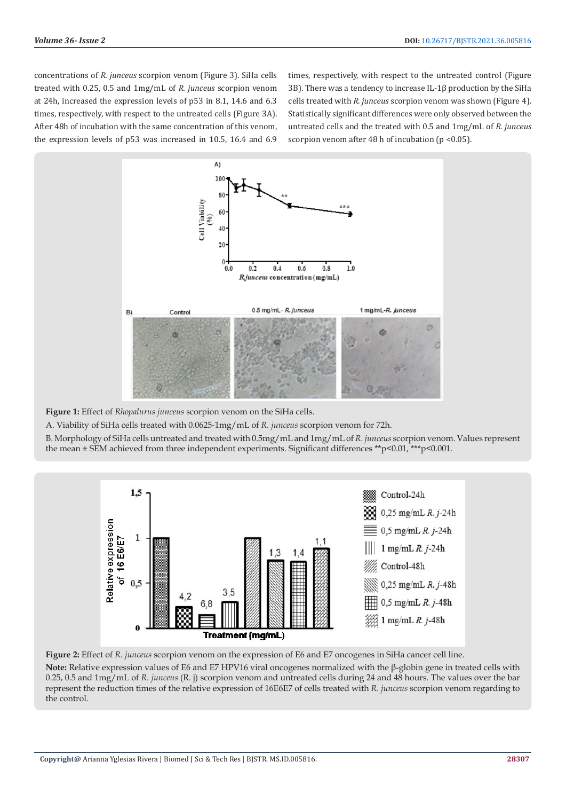concentrations of *R. junceus* scorpion venom (Figure 3). SiHa cells treated with 0.25, 0.5 and 1mg/mL of *R. junceus* scorpion venom at 24h, increased the expression levels of p53 in 8.1, 14.6 and 6.3 times, respectively, with respect to the untreated cells (Figure 3A). After 48h of incubation with the same concentration of this venom, the expression levels of p53 was increased in 10.5, 16.4 and 6.9

times, respectively, with respect to the untreated control (Figure 3B). There was a tendency to increase IL-1β production by the SiHa cells treated with *R. junceus* scorpion venom was shown (Figure 4). Statistically significant differences were only observed between the untreated cells and the treated with 0.5 and 1mg/mL of *R. junceus* scorpion venom after 48 h of incubation ( $p < 0.05$ ).



**Figure 1:** Effect of *Rhopalurus junceus* scorpion venom on the SiHa cells.

A. Viability of SiHa cells treated with 0.0625-1mg/mL of *R. junceus* scorpion venom for 72h.

B. Morphology of SiHa cells untreated and treated with 0.5mg/mL and 1mg/mL of *R. junceus* scorpion venom. Values represent the mean ± SEM achieved from three independent experiments. Significant differences \*\*p<0.01, \*\*\*p<0.001.



**Figure 2:** Effect of *R. junceus* scorpion venom on the expression of E6 and E7 oncogenes in SiHa cancer cell line.

**Note:** Relative expression values of E6 and E7 HPV16 viral oncogenes normalized with the β-globin gene in treated cells with 0.25, 0.5 and 1mg/mL of *R. junceus* (R. j) scorpion venom and untreated cells during 24 and 48 hours. The values over the bar represent the reduction times of the relative expression of 16E6E7 of cells treated with *R. junceus* scorpion venom regarding to the control.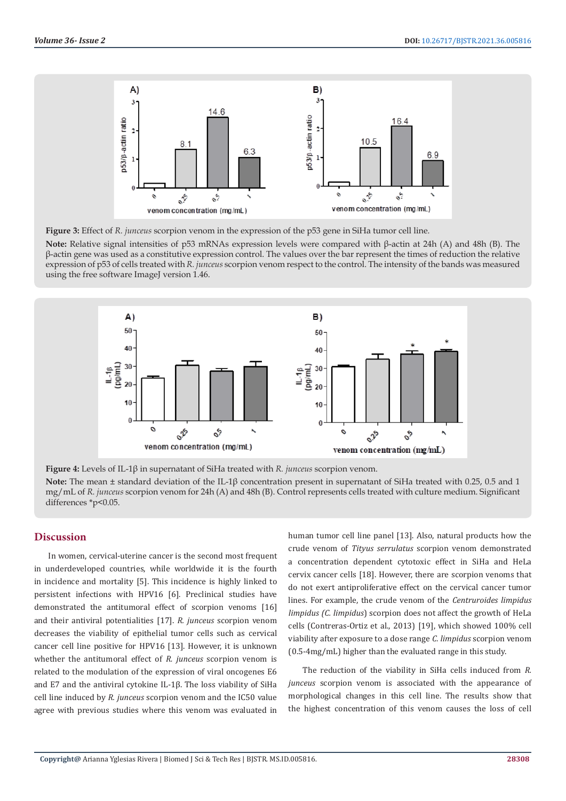

**Figure 3:** Effect of *R. junceus* scorpion venom in the expression of the p53 gene in SiHa tumor cell line.

**Note:** Relative signal intensities of p53 mRNAs expression levels were compared with β-actin at 24h (A) and 48h (B). The β-actin gene was used as a constitutive expression control. The values over the bar represent the times of reduction the relative expression of p53 of cells treated with *R. junceus* scorpion venom respect to the control. The intensity of the bands was measured using the free software ImageJ version 1.46.



**Figure 4:** Levels of IL-1β in supernatant of SiHa treated with *R. junceus* scorpion venom. **Note:** The mean ± standard deviation of the IL-1β concentration present in supernatant of SiHa treated with 0.25, 0.5 and 1 mg/mL of *R. junceus* scorpion venom for 24h (A) and 48h (B). Control represents cells treated with culture medium. Significant differences \*p<0.05.

# **Discussion**

In women, cervical-uterine cancer is the second most frequent in underdeveloped countries, while worldwide it is the fourth in incidence and mortality [5]. This incidence is highly linked to persistent infections with HPV16 [6]. Preclinical studies have demonstrated the antitumoral effect of scorpion venoms [16] and their antiviral potentialities [17]. *R. junceus* scorpion venom decreases the viability of epithelial tumor cells such as cervical cancer cell line positive for HPV16 [13]. However, it is unknown whether the antitumoral effect of *R. junceus* scorpion venom is related to the modulation of the expression of viral oncogenes E6 and E7 and the antiviral cytokine IL-1β. The loss viability of SiHa cell line induced by *R. junceus* scorpion venom and the IC50 value agree with previous studies where this venom was evaluated in

human tumor cell line panel [13]. Also, natural products how the crude venom of *Tityus serrulatus* scorpion venom demonstrated a concentration dependent cytotoxic effect in SiHa and HeLa cervix cancer cells [18]. However, there are scorpion venoms that do not exert antiproliferative effect on the cervical cancer tumor lines. For example, the crude venom of the *Centruroides limpidus limpidus (C. limpidus*) scorpion does not affect the growth of HeLa cells (Contreras-Ortiz et al., 2013) [19], which showed 100% cell viability after exposure to a dose range *C. limpidus* scorpion venom (0.5-4mg/mL) higher than the evaluated range in this study.

The reduction of the viability in SiHa cells induced from *R. junceus* scorpion venom is associated with the appearance of morphological changes in this cell line. The results show that the highest concentration of this venom causes the loss of cell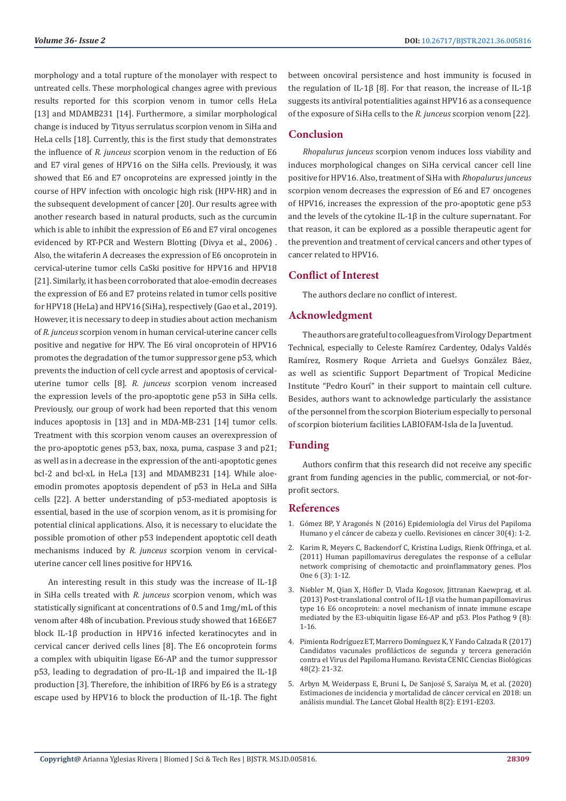morphology and a total rupture of the monolayer with respect to untreated cells. These morphological changes agree with previous results reported for this scorpion venom in tumor cells HeLa [13] and MDAMB231 [14]. Furthermore, a similar morphological change is induced by Tityus serrulatus scorpion venom in SiHa and HeLa cells [18]. Currently, this is the first study that demonstrates the influence of *R. junceus* scorpion venom in the reduction of E6 and E7 viral genes of HPV16 on the SiHa cells. Previously, it was showed that E6 and E7 oncoproteins are expressed jointly in the course of HPV infection with oncologic high risk (HPV-HR) and in the subsequent development of cancer [20]. Our results agree with another research based in natural products, such as the curcumin which is able to inhibit the expression of E6 and E7 viral oncogenes evidenced by RT-PCR and Western Blotting (Divya et al., 2006) . Also, the witaferin A decreases the expression of E6 oncoprotein in cervical-uterine tumor cells CaSki positive for HPV16 and HPV18 [21]. Similarly, it has been corroborated that aloe-emodin decreases the expression of E6 and E7 proteins related in tumor cells positive for HPV18 (HeLa) and HPV16 (SiHa), respectively (Gao et al., 2019). However, it is necessary to deep in studies about action mechanism of *R. junceus* scorpion venom in human cervical-uterine cancer cells positive and negative for HPV. The E6 viral oncoprotein of HPV16 promotes the degradation of the tumor suppressor gene p53, which prevents the induction of cell cycle arrest and apoptosis of cervicaluterine tumor cells [8]. *R. junceus* scorpion venom increased the expression levels of the pro-apoptotic gene p53 in SiHa cells. Previously, our group of work had been reported that this venom induces apoptosis in [13] and in MDA-MB-231 [14] tumor cells. Treatment with this scorpion venom causes an overexpression of the pro-apoptotic genes p53, bax, noxa, puma, caspase 3 and p21; as well as in a decrease in the expression of the anti-apoptotic genes bcl-2 and bcl-xL in HeLa [13] and MDAMB231 [14]. While aloeemodin promotes apoptosis dependent of p53 in HeLa and SiHa cells [22]. A better understanding of p53-mediated apoptosis is essential, based in the use of scorpion venom, as it is promising for potential clinical applications. Also, it is necessary to elucidate the possible promotion of other p53 independent apoptotic cell death mechanisms induced by *R. junceus* scorpion venom in cervicaluterine cancer cell lines positive for HPV16.

An interesting result in this study was the increase of IL-1β in SiHa cells treated with *R. junceus* scorpion venom, which was statistically significant at concentrations of 0.5 and 1mg/mL of this venom after 48h of incubation. Previous study showed that 16E6E7 block IL-1β production in HPV16 infected keratinocytes and in cervical cancer derived cells lines [8]. The E6 oncoprotein forms a complex with ubiquitin ligase E6-AP and the tumor suppressor p53, leading to degradation of pro-IL-1β and impaired the IL-1β production [3]. Therefore, the inhibition of IRF6 by E6 is a strategy escape used by HPV16 to block the production of IL-1β. The fight between oncoviral persistence and host immunity is focused in the regulation of IL-1β [8]. For that reason, the increase of IL-1β suggests its antiviral potentialities against HPV16 as a consequence of the exposure of SiHa cells to the *R. junceus* scorpion venom [22].

# **Conclusion**

*Rhopalurus junceus* scorpion venom induces loss viability and induces morphological changes on SiHa cervical cancer cell line positive for HPV16. Also, treatment of SiHa with *Rhopalurus junceus* scorpion venom decreases the expression of E6 and E7 oncogenes of HPV16, increases the expression of the pro-apoptotic gene p53 and the levels of the cytokine IL-1β in the culture supernatant. For that reason, it can be explored as a possible therapeutic agent for the prevention and treatment of cervical cancers and other types of cancer related to HPV16.

# **Conflict of Interest**

The authors declare no conflict of interest.

# **Acknowledgment**

The authors are grateful to colleagues from Virology Department Technical, especially to Celeste Ramírez Cardentey, Odalys Valdés Ramírez, Rosmery Roque Arrieta and Guelsys González Báez, as well as scientific Support Department of Tropical Medicine Institute "Pedro Kourí" in their support to maintain cell culture. Besides, authors want to acknowledge particularly the assistance of the personnel from the scorpion Bioterium especially to personal of scorpion bioterium facilities LABIOFAM-Isla de la Juventud.

#### **Funding**

Authors confirm that this research did not receive any specific grant from funding agencies in the public, commercial, or not-forprofit sectors.

### **References**

- 1. [Gómez BP, Y Aragonés N \(2016\) Epidemiología del Virus del Papiloma](https://dialnet.unirioja.es/servlet/articulo?codigo=5790452) [Humano y el cáncer de cabeza y cuello. Revisiones en cáncer 30\(4\): 1-2.](https://dialnet.unirioja.es/servlet/articulo?codigo=5790452)
- 2. [Karim R, Meyers C, Backendorf C, Kristina Ludigs, Rienk Offringa, et al.](https://journals.plos.org/plosone/article?id=10.1371/journal.pone.0017848) [\(2011\) Human papillomavirus deregulates the response of a cellular](https://journals.plos.org/plosone/article?id=10.1371/journal.pone.0017848) [network comprising of chemotactic and proinflammatory genes. Plos](https://journals.plos.org/plosone/article?id=10.1371/journal.pone.0017848) [One 6 \(3\): 1-12.](https://journals.plos.org/plosone/article?id=10.1371/journal.pone.0017848)
- 3. [Niebler M, Qian X, Höfler D, Vlada Kogosov, Jittranan Kaewprag, et al.](https://pubmed.ncbi.nlm.nih.gov/23935506/) [\(2013\) Post-translational control of IL-1β via the human papillomavirus](https://pubmed.ncbi.nlm.nih.gov/23935506/) [type 16 E6 oncoprotein: a novel mechanism of innate immune escape](https://pubmed.ncbi.nlm.nih.gov/23935506/) [mediated by the E3-ubiquitin ligase E6-AP and p53. Plos Pathog 9 \(8\):](https://pubmed.ncbi.nlm.nih.gov/23935506/) [1-16.](https://pubmed.ncbi.nlm.nih.gov/23935506/)
- 4. [Pimienta Rodríguez ET, Marrero Domínguez K, Y Fando Calzada R \(2017\)](https://www.redalyc.org/pdf/1812/181250961003.pdf) [Candidatos vacunales profilácticos de segunda y tercera generació](https://www.redalyc.org/pdf/1812/181250961003.pdf)n [contra el Virus del Papiloma Humano. Revista CENIC Ciencias Biológicas](https://www.redalyc.org/pdf/1812/181250961003.pdf) [48\(2\): 21-32.](https://www.redalyc.org/pdf/1812/181250961003.pdf)
- 5. [Arbyn M, Weiderpass E, Bruni L, De Sanjosé S, Saraiya M, et al. \(2020\)](https://www.ncbi.nlm.nih.gov/pmc/articles/PMC7025157/) [Estimaciones de incidencia y mortalidad de cáncer cervical en 2018: un](https://www.ncbi.nlm.nih.gov/pmc/articles/PMC7025157/) [análisis mundial. The Lancet Global Health 8\(2\): E191-E203.](https://www.ncbi.nlm.nih.gov/pmc/articles/PMC7025157/)